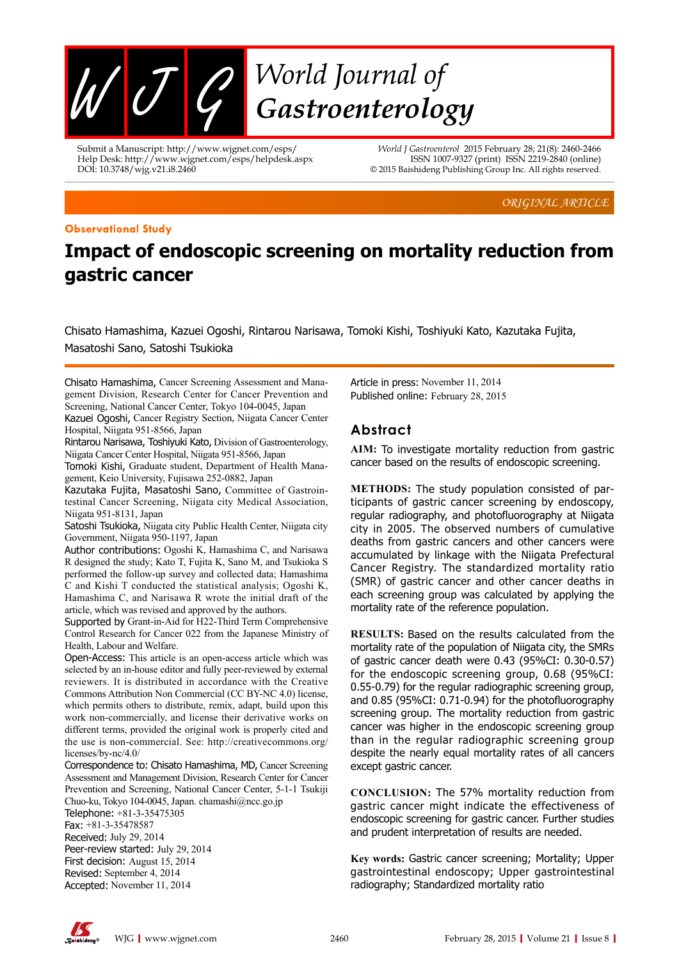

Submit a Manuscript: http://www.wjgnet.com/esps/ Help Desk: http://www.wjgnet.com/esps/helpdesk.aspx DOI: 10.3748/wjg.v21.i8.2460

*World J Gastroenterol* 2015 February 28; 21(8): 2460-2466 ISSN 1007-9327 (print) ISSN 2219-2840 (online) © 2015 Baishideng Publishing Group Inc. All rights reserved.

*ORIGINAL ARTICLE*

#### **Observational Study**

# **Impact of endoscopic screening on mortality reduction from gastric cancer**

Chisato Hamashima, Kazuei Ogoshi, Rintarou Narisawa, Tomoki Kishi, Toshiyuki Kato, Kazutaka Fujita, Masatoshi Sano, Satoshi Tsukioka

Chisato Hamashima, Cancer Screening Assessment and Management Division, Research Center for Cancer Prevention and Screening, National Cancer Center, Tokyo 104-0045, Japan

Kazuei Ogoshi, Cancer Registry Section, Niigata Cancer Center Hospital, Niigata 951-8566, Japan

Rintarou Narisawa, Toshiyuki Kato, Division of Gastroenterology, Niigata Cancer Center Hospital, Niigata 951-8566, Japan

Tomoki Kishi, Graduate student, Department of Health Management, Keio University, Fujisawa 252-0882, Japan

Kazutaka Fujita, Masatoshi Sano, Committee of Gastrointestinal Cancer Screening, Niigata city Medical Association, Niigata 951-8131, Japan

Satoshi Tsukioka, Niigata city Public Health Center, Niigata city Government, Niigata 950-1197, Japan

Author contributions: Ogoshi K, Hamashima C, and Narisawa R designed the study; Kato T, Fujita K, Sano M, and Tsukioka S performed the follow-up survey and collected data; Hamashima C and Kishi T conducted the statistical analysis; Ogoshi K, Hamashima C, and Narisawa R wrote the initial draft of the article, which was revised and approved by the authors.

Supported by Grant-in-Aid for H22-Third Term Comprehensive Control Research for Cancer 022 from the Japanese Ministry of Health, Labour and Welfare.

Open-Access: This article is an open-access article which was selected by an in-house editor and fully peer-reviewed by external reviewers. It is distributed in accordance with the Creative Commons Attribution Non Commercial (CC BY-NC 4.0) license, which permits others to distribute, remix, adapt, build upon this work non-commercially, and license their derivative works on different terms, provided the original work is properly cited and the use is non-commercial. See: http://creativecommons.org/ licenses/by-nc/4.0/

Correspondence to: Chisato Hamashima, MD, Cancer Screening Assessment and Management Division, Research Center for Cancer Prevention and Screening, National Cancer Center, 5-1-1 Tsukiji Chuo-ku, Tokyo 104-0045, Japan. chamashi@ncc.go.jp

Telephone: +81-3-35475305 Fax: +81-3-35478587 Received: July 29, 2014 Peer-review started: July 29, 2014 First decision: August 15, 2014 Revised: September 4, 2014 Accepted: November 11, 2014

Article in press: November 11, 2014 Published online: February 28, 2015

# **Abstract**

**AIM:** To investigate mortality reduction from gastric cancer based on the results of endoscopic screening.

**METHODS:** The study population consisted of participants of gastric cancer screening by endoscopy, regular radiography, and photofluorography at Niigata city in 2005. The observed numbers of cumulative deaths from gastric cancers and other cancers were accumulated by linkage with the Niigata Prefectural Cancer Registry. The standardized mortality ratio (SMR) of gastric cancer and other cancer deaths in each screening group was calculated by applying the mortality rate of the reference population.

**RESULTS:** Based on the results calculated from the mortality rate of the population of Niigata city, the SMRs of gastric cancer death were 0.43 (95%CI: 0.30-0.57) for the endoscopic screening group, 0.68 (95%CI: 0.55-0.79) for the regular radiographic screening group, and 0.85 (95%CI: 0.71-0.94) for the photofluorography screening group. The mortality reduction from gastric cancer was higher in the endoscopic screening group than in the regular radiographic screening group despite the nearly equal mortality rates of all cancers except gastric cancer.

**CONCLUSION:** The 57% mortality reduction from gastric cancer might indicate the effectiveness of endoscopic screening for gastric cancer. Further studies and prudent interpretation of results are needed.

**Key words:** Gastric cancer screening; Mortality; Upper gastrointestinal endoscopy; Upper gastrointestinal radiography; Standardized mortality ratio

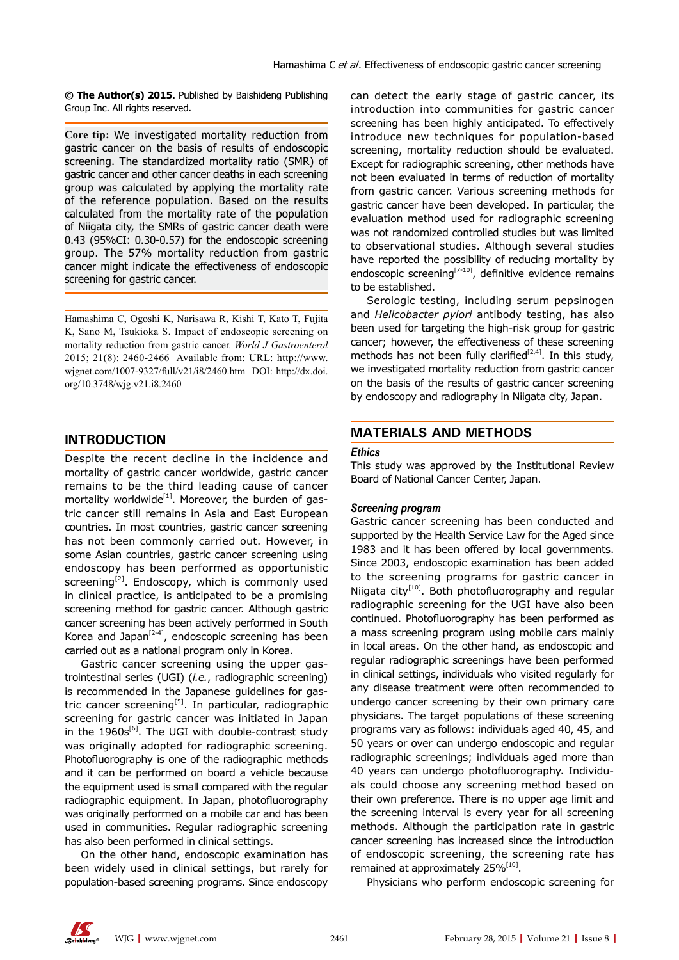**© The Author(s) 2015.** Published by Baishideng Publishing Group Inc. All rights reserved.

**Core tip:** We investigated mortality reduction from gastric cancer on the basis of results of endoscopic screening. The standardized mortality ratio (SMR) of gastric cancer and other cancer deaths in each screening group was calculated by applying the mortality rate of the reference population. Based on the results calculated from the mortality rate of the population of Niigata city, the SMRs of gastric cancer death were 0.43 (95%CI: 0.30-0.57) for the endoscopic screening group. The 57% mortality reduction from gastric cancer might indicate the effectiveness of endoscopic screening for gastric cancer.

Hamashima C, Ogoshi K, Narisawa R, Kishi T, Kato T, Fujita K, Sano M, Tsukioka S. Impact of endoscopic screening on mortality reduction from gastric cancer. *World J Gastroenterol* 2015; 21(8): 2460-2466 Available from: URL: http://www. wjgnet.com/1007-9327/full/v21/i8/2460.htm DOI: http://dx.doi. org/10.3748/wjg.v21.i8.2460

# **INTRODUCTION**

Despite the recent decline in the incidence and mortality of gastric cancer worldwide, gastric cancer remains to be the third leading cause of cancer mortality worldwide $[1]$ . Moreover, the burden of gastric cancer still remains in Asia and East European countries. In most countries, gastric cancer screening has not been commonly carried out. However, in some Asian countries, gastric cancer screening using endoscopy has been performed as opportunistic screening<sup>[2]</sup>. Endoscopy, which is commonly used in clinical practice, is anticipated to be a promising screening method for gastric cancer. Although gastric cancer screening has been actively performed in South Korea and Japan<sup>[2-4]</sup>, endoscopic screening has been carried out as a national program only in Korea.

Gastric cancer screening using the upper gastrointestinal series (UGI) (*i.e.*, radiographic screening) is recommended in the Japanese guidelines for gastric cancer screening<sup>[5]</sup>. In particular, radiographic screening for gastric cancer was initiated in Japan in the  $1960s^{[6]}$ . The UGI with double-contrast study was originally adopted for radiographic screening. Photofluorography is one of the radiographic methods and it can be performed on board a vehicle because the equipment used is small compared with the regular radiographic equipment. In Japan, photofluorography was originally performed on a mobile car and has been used in communities. Regular radiographic screening has also been performed in clinical settings.

On the other hand, endoscopic examination has been widely used in clinical settings, but rarely for population-based screening programs. Since endoscopy can detect the early stage of gastric cancer, its introduction into communities for gastric cancer screening has been highly anticipated. To effectively introduce new techniques for population-based screening, mortality reduction should be evaluated. Except for radiographic screening, other methods have not been evaluated in terms of reduction of mortality from gastric cancer. Various screening methods for gastric cancer have been developed. In particular, the evaluation method used for radiographic screening was not randomized controlled studies but was limited to observational studies. Although several studies have reported the possibility of reducing mortality by endoscopic screening<sup>[7-10]</sup>, definitive evidence remains to be established.

Serologic testing, including serum pepsinogen and *Helicobacter pylori* antibody testing, has also been used for targeting the high-risk group for gastric cancer; however, the effectiveness of these screening methods has not been fully clarified<sup>[2,4]</sup>. In this study, we investigated mortality reduction from gastric cancer on the basis of the results of gastric cancer screening by endoscopy and radiography in Niigata city, Japan.

## **MATERIALS AND METHODS**

#### *Ethics*

This study was approved by the Institutional Review Board of National Cancer Center, Japan.

#### *Screening program*

Gastric cancer screening has been conducted and supported by the Health Service Law for the Aged since 1983 and it has been offered by local governments. Since 2003, endoscopic examination has been added to the screening programs for gastric cancer in Niigata city<sup>[10]</sup>. Both photofluorography and regular radiographic screening for the UGI have also been continued. Photofluorography has been performed as a mass screening program using mobile cars mainly in local areas. On the other hand, as endoscopic and regular radiographic screenings have been performed in clinical settings, individuals who visited regularly for any disease treatment were often recommended to undergo cancer screening by their own primary care physicians. The target populations of these screening programs vary as follows: individuals aged 40, 45, and 50 years or over can undergo endoscopic and regular radiographic screenings; individuals aged more than 40 years can undergo photofluorography. Individuals could choose any screening method based on their own preference. There is no upper age limit and the screening interval is every year for all screening methods. Although the participation rate in gastric cancer screening has increased since the introduction of endoscopic screening, the screening rate has remained at approximately 25%<sup>[10]</sup>.

Physicians who perform endoscopic screening for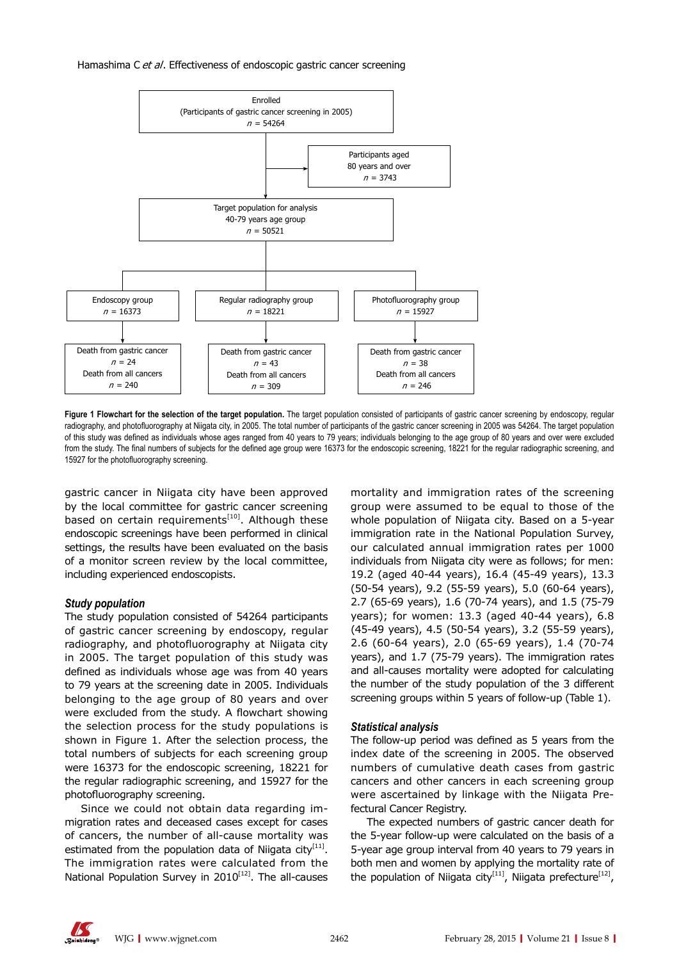#### Hamashima C et al. Effectiveness of endoscopic gastric cancer screening



Figure 1 Flowchart for the selection of the target population. The target population consisted of participants of gastric cancer screening by endoscopy, regular radiography, and photofluorography at Niigata city, in 2005. The total number of participants of the gastric cancer screening in 2005 was 54264. The target population of this study was defined as individuals whose ages ranged from 40 years to 79 years; individuals belonging to the age group of 80 years and over were excluded from the study. The final numbers of subjects for the defined age group were 16373 for the endoscopic screening, 18221 for the regular radiographic screening, and 15927 for the photofluorography screening.

gastric cancer in Niigata city have been approved by the local committee for gastric cancer screening based on certain requirements<sup>[10]</sup>. Although these endoscopic screenings have been performed in clinical settings, the results have been evaluated on the basis of a monitor screen review by the local committee, including experienced endoscopists.

## *Study population*

The study population consisted of 54264 participants of gastric cancer screening by endoscopy, regular radiography, and photofluorography at Niigata city in 2005. The target population of this study was defined as individuals whose age was from 40 years to 79 years at the screening date in 2005. Individuals belonging to the age group of 80 years and over were excluded from the study. A flowchart showing the selection process for the study populations is shown in Figure 1. After the selection process, the total numbers of subjects for each screening group were 16373 for the endoscopic screening, 18221 for the regular radiographic screening, and 15927 for the photofluorography screening.

Since we could not obtain data regarding immigration rates and deceased cases except for cases of cancers, the number of all-cause mortality was estimated from the population data of Niigata city $[11]$ . The immigration rates were calculated from the National Population Survey in  $2010^{[12]}$ . The all-causes

mortality and immigration rates of the screening group were assumed to be equal to those of the whole population of Niigata city. Based on a 5-year immigration rate in the National Population Survey, our calculated annual immigration rates per 1000 individuals from Niigata city were as follows; for men: 19.2 (aged 40-44 years), 16.4 (45-49 years), 13.3 (50-54 years), 9.2 (55-59 years), 5.0 (60-64 years), 2.7 (65-69 years), 1.6 (70-74 years), and 1.5 (75-79 years); for women: 13.3 (aged 40-44 years), 6.8 (45-49 years), 4.5 (50-54 years), 3.2 (55-59 years), 2.6 (60-64 years), 2.0 (65-69 years), 1.4 (70-74 years), and 1.7 (75-79 years). The immigration rates and all-causes mortality were adopted for calculating the number of the study population of the 3 different screening groups within 5 years of follow-up (Table 1).

## *Statistical analysis*

The follow-up period was defined as 5 years from the index date of the screening in 2005. The observed numbers of cumulative death cases from gastric cancers and other cancers in each screening group were ascertained by linkage with the Niigata Prefectural Cancer Registry.

The expected numbers of gastric cancer death for the 5-year follow-up were calculated on the basis of a 5-year age group interval from 40 years to 79 years in both men and women by applying the mortality rate of the population of Niigata city<sup>[11]</sup>, Niigata prefecture<sup>[12]</sup>,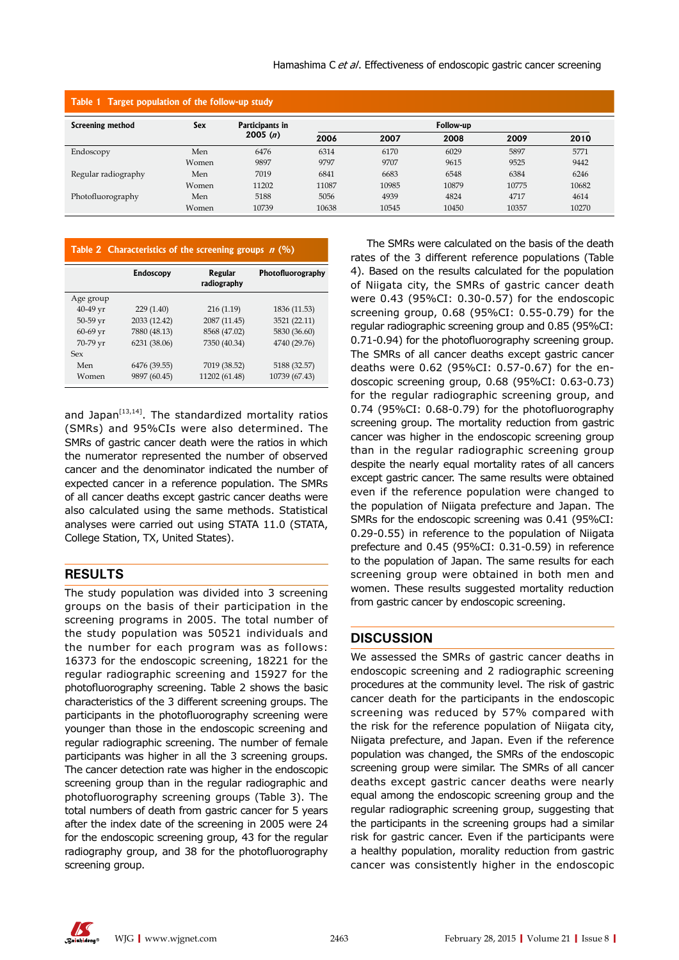| Table 1 Target population of the follow-up study |       |                            |           |       |       |       |       |  |
|--------------------------------------------------|-------|----------------------------|-----------|-------|-------|-------|-------|--|
| Screening method                                 | Sex   | Participants in<br>2005(n) | Follow-up |       |       |       |       |  |
|                                                  |       |                            | 2006      | 2007  | 2008  | 2009  | 2010  |  |
| Endoscopy                                        | Men   | 6476                       | 6314      | 6170  | 6029  | 5897  | 5771  |  |
|                                                  | Women | 9897                       | 9797      | 9707  | 9615  | 9525  | 9442  |  |
| Regular radiography                              | Men   | 7019                       | 6841      | 6683  | 6548  | 6384  | 6246  |  |
|                                                  | Women | 11202                      | 11087     | 10985 | 10879 | 10775 | 10682 |  |
| Photofluorography                                | Men   | 5188                       | 5056      | 4939  | 4824  | 4717  | 4614  |  |
|                                                  | Women | 10739                      | 10638     | 10545 | 10450 | 10357 | 10270 |  |

## **Table 2 Characteristics of the screening groups n (%)**

|            | <b>Endoscopy</b> | <b>Regular</b><br>radiography | Photofluorography |
|------------|------------------|-------------------------------|-------------------|
| Age group  |                  |                               |                   |
| $40-49$ yr | 229(1.40)        | 216(1.19)                     | 1836 (11.53)      |
| $50-59$ yr | 2033 (12.42)     | 2087 (11.45)                  | 3521 (22.11)      |
| 60-69 yr   | 7880 (48.13)     | 8568 (47.02)                  | 5830 (36.60)      |
| 70-79 yr   | 6231 (38.06)     | 7350 (40.34)                  | 4740 (29.76)      |
| Sex        |                  |                               |                   |
| Men        | 6476 (39.55)     | 7019 (38.52)                  | 5188 (32.57)      |
| Women      | 9897 (60.45)     | 11202 (61.48)                 | 10739 (67.43)     |

and Japan $^{[13,14]}$ . The standardized mortality ratios (SMRs) and 95%CIs were also determined. The SMRs of gastric cancer death were the ratios in which the numerator represented the number of observed cancer and the denominator indicated the number of expected cancer in a reference population. The SMRs of all cancer deaths except gastric cancer deaths were also calculated using the same methods. Statistical analyses were carried out using STATA 11.0 (STATA, College Station, TX, United States).

## **RESULTS**

The study population was divided into 3 screening groups on the basis of their participation in the screening programs in 2005. The total number of the study population was 50521 individuals and the number for each program was as follows: 16373 for the endoscopic screening, 18221 for the regular radiographic screening and 15927 for the photofluorography screening. Table 2 shows the basic characteristics of the 3 different screening groups. The participants in the photofluorography screening were younger than those in the endoscopic screening and regular radiographic screening. The number of female participants was higher in all the 3 screening groups. The cancer detection rate was higher in the endoscopic screening group than in the regular radiographic and photofluorography screening groups (Table 3). The total numbers of death from gastric cancer for 5 years after the index date of the screening in 2005 were 24 for the endoscopic screening group, 43 for the regular radiography group, and 38 for the photofluorography screening group.

The SMRs were calculated on the basis of the death rates of the 3 different reference populations (Table 4). Based on the results calculated for the population of Niigata city, the SMRs of gastric cancer death were 0.43 (95%CI: 0.30-0.57) for the endoscopic screening group, 0.68 (95%CI: 0.55-0.79) for the regular radiographic screening group and 0.85 (95%CI: 0.71-0.94) for the photofluorography screening group. The SMRs of all cancer deaths except gastric cancer deaths were 0.62 (95%CI: 0.57-0.67) for the endoscopic screening group, 0.68 (95%CI: 0.63-0.73) for the regular radiographic screening group, and 0.74 (95%CI: 0.68-0.79) for the photofluorography screening group. The mortality reduction from gastric cancer was higher in the endoscopic screening group than in the regular radiographic screening group despite the nearly equal mortality rates of all cancers except gastric cancer. The same results were obtained even if the reference population were changed to the population of Niigata prefecture and Japan. The SMRs for the endoscopic screening was 0.41 (95%CI: 0.29-0.55) in reference to the population of Niigata prefecture and 0.45 (95%CI: 0.31-0.59) in reference to the population of Japan. The same results for each screening group were obtained in both men and women. These results suggested mortality reduction from gastric cancer by endoscopic screening.

# **DISCUSSION**

We assessed the SMRs of gastric cancer deaths in endoscopic screening and 2 radiographic screening procedures at the community level. The risk of gastric cancer death for the participants in the endoscopic screening was reduced by 57% compared with the risk for the reference population of Niigata city, Niigata prefecture, and Japan. Even if the reference population was changed, the SMRs of the endoscopic screening group were similar. The SMRs of all cancer deaths except gastric cancer deaths were nearly equal among the endoscopic screening group and the regular radiographic screening group, suggesting that the participants in the screening groups had a similar risk for gastric cancer. Even if the participants were a healthy population, morality reduction from gastric cancer was consistently higher in the endoscopic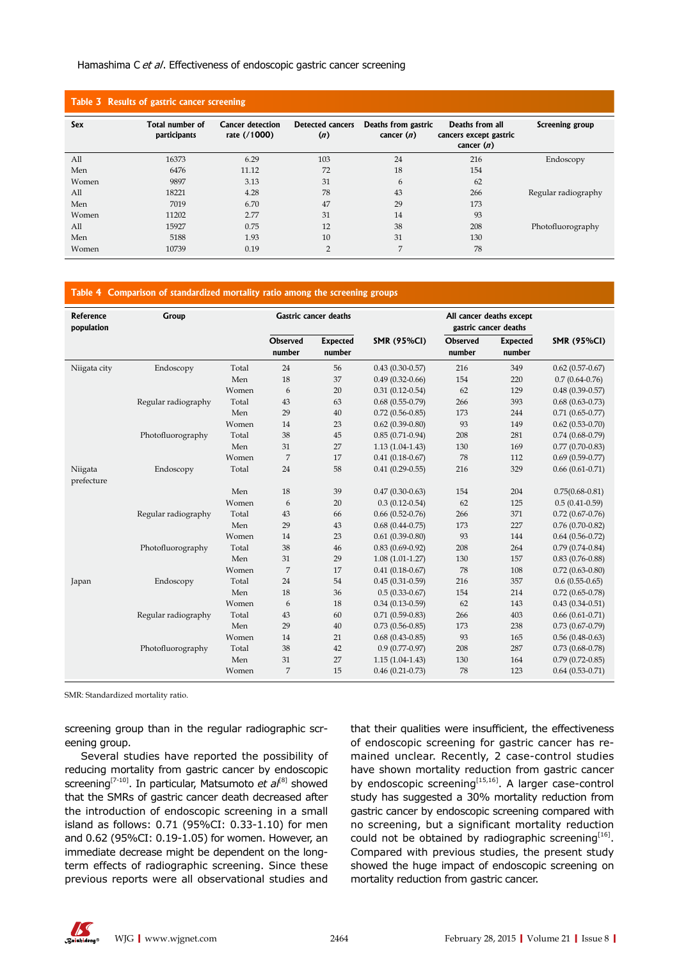#### Hamashima C et al. Effectiveness of endoscopic gastric cancer screening

| Table 3 Results of gastric cancer screening |                                 |                                         |                                |                                     |                                                           |                     |  |  |
|---------------------------------------------|---------------------------------|-----------------------------------------|--------------------------------|-------------------------------------|-----------------------------------------------------------|---------------------|--|--|
| Sex                                         | Total number of<br>participants | <b>Cancer detection</b><br>rate (/1000) | <b>Detected cancers</b><br>(n) | Deaths from gastric<br>cancer $(n)$ | Deaths from all<br>cancers except gastric<br>cancer $(n)$ | Screening group     |  |  |
| All                                         | 16373                           | 6.29                                    | 103                            | 24                                  | 216                                                       | Endoscopy           |  |  |
| Men                                         | 6476                            | 11.12                                   | 72                             | 18                                  | 154                                                       |                     |  |  |
| Women                                       | 9897                            | 3.13                                    | 31                             | 6                                   | 62                                                        |                     |  |  |
| All                                         | 18221                           | 4.28                                    | 78                             | 43                                  | 266                                                       | Regular radiography |  |  |
| Men                                         | 7019                            | 6.70                                    | 47                             | 29                                  | 173                                                       |                     |  |  |
| Women                                       | 11202                           | 2.77                                    | 31                             | 14                                  | 93                                                        |                     |  |  |
| All                                         | 15927                           | 0.75                                    | 12                             | 38                                  | 208                                                       | Photofluorography   |  |  |
| Men                                         | 5188                            | 1.93                                    | 10                             | 31                                  | 130                                                       |                     |  |  |
| Women                                       | 10739                           | 0.19                                    | $\overline{2}$                 | 7                                   | 78                                                        |                     |  |  |

### **Table 4 Comparison of standardized mortality ratio among the screening groups**

| Reference<br>population | Group               |       | <b>Gastric cancer deaths</b> |                           |                     | All cancer deaths except<br>gastric cancer deaths |                           |                     |
|-------------------------|---------------------|-------|------------------------------|---------------------------|---------------------|---------------------------------------------------|---------------------------|---------------------|
|                         |                     |       | <b>Observed</b><br>number    | <b>Expected</b><br>number | <b>SMR (95%CI)</b>  | <b>Observed</b><br>number                         | <b>Expected</b><br>number | <b>SMR (95%CI)</b>  |
| Niigata city            | Endoscopy           | Total | 24                           | 56                        | $0.43(0.30-0.57)$   | 216                                               | 349                       | $0.62$ (0.57-0.67)  |
|                         |                     | Men   | 18                           | 37                        | $0.49(0.32-0.66)$   | 154                                               | 220                       | $0.7(0.64-0.76)$    |
|                         |                     | Women | 6                            | 20                        | $0.31(0.12 - 0.54)$ | 62                                                | 129                       | $0.48(0.39-0.57)$   |
|                         | Regular radiography | Total | 43                           | 63                        | $0.68(0.55-0.79)$   | 266                                               | 393                       | $0.68(0.63 - 0.73)$ |
|                         |                     | Men   | 29                           | 40                        | $0.72(0.56 - 0.85)$ | 173                                               | 244                       | $0.71(0.65-0.77)$   |
|                         |                     | Women | 14                           | 23                        | $0.62(0.39-0.80)$   | 93                                                | 149                       | $0.62$ (0.53-0.70)  |
|                         | Photofluorography   | Total | 38                           | 45                        | $0.85(0.71-0.94)$   | 208                                               | 281                       | $0.74(0.68-0.79)$   |
|                         |                     | Men   | 31                           | 27                        | $1.13(1.04-1.43)$   | 130                                               | 169                       | $0.77(0.70-0.83)$   |
|                         |                     | Women | 7                            | 17                        | $0.41(0.18-0.67)$   | 78                                                | 112                       | $0.69(0.59-0.77)$   |
| Niigata<br>prefecture   | Endoscopy           | Total | 24                           | 58                        | $0.41(0.29-0.55)$   | 216                                               | 329                       | $0.66(0.61-0.71)$   |
|                         |                     | Men   | 18                           | 39                        | $0.47(0.30-0.63)$   | 154                                               | 204                       | $0.75(0.68 - 0.81)$ |
|                         |                     | Women | 6                            | 20                        | $0.3(0.12-0.54)$    | 62                                                | 125                       | $0.5(0.41-0.59)$    |
|                         | Regular radiography | Total | 43                           | 66                        | $0.66(0.52-0.76)$   | 266                                               | 371                       | $0.72(0.67-0.76)$   |
|                         |                     | Men   | 29                           | 43                        | $0.68$ (0.44-0.75)  | 173                                               | 227                       | $0.76(0.70-0.82)$   |
|                         |                     | Women | 14                           | 23                        | $0.61(0.39 - 0.80)$ | 93                                                | 144                       | $0.64(0.56-0.72)$   |
|                         | Photofluorography   | Total | 38                           | 46                        | $0.83(0.69-0.92)$   | 208                                               | 264                       | $0.79(0.74-0.84)$   |
|                         |                     | Men   | 31                           | 29                        | $1.08(1.01 - 1.27)$ | 130                                               | 157                       | $0.83(0.76 - 0.88)$ |
|                         |                     | Women | 7                            | 17                        | $0.41(0.18-0.67)$   | 78                                                | 108                       | $0.72(0.63 - 0.80)$ |
| Japan                   | Endoscopy           | Total | 24                           | 54                        | $0.45(0.31-0.59)$   | 216                                               | 357                       | $0.6(0.55-0.65)$    |
|                         |                     | Men   | 18                           | 36                        | $0.5(0.33-0.67)$    | 154                                               | 214                       | $0.72(0.65-0.78)$   |
|                         |                     | Women | 6                            | 18                        | $0.34(0.13-0.59)$   | 62                                                | 143                       | $0.43(0.34 - 0.51)$ |
|                         | Regular radiography | Total | 43                           | 60                        | $0.71(0.59-0.83)$   | 266                                               | 403                       | $0.66(0.61-0.71)$   |
|                         |                     | Men   | 29                           | 40                        | $0.73(0.56-0.85)$   | 173                                               | 238                       | $0.73(0.67-0.79)$   |
|                         |                     | Women | 14                           | 21                        | $0.68(0.43-0.85)$   | 93                                                | 165                       | $0.56(0.48-0.63)$   |
|                         | Photofluorography   | Total | 38                           | 42                        | $0.9(0.77-0.97)$    | 208                                               | 287                       | $0.73(0.68-0.78)$   |
|                         |                     | Men   | 31                           | 27                        | $1.15(1.04-1.43)$   | 130                                               | 164                       | $0.79(0.72 - 0.85)$ |
|                         |                     | Women | 7                            | 15                        | $0.46(0.21-0.73)$   | 78                                                | 123                       | $0.64(0.53-0.71)$   |

SMR: Standardized mortality ratio.

screening group than in the regular radiographic screening group.

Several studies have reported the possibility of reducing mortality from gastric cancer by endoscopic screening<sup>[7-10]</sup>. In particular, Matsumoto *et al*<sup>[8]</sup> showed that the SMRs of gastric cancer death decreased after the introduction of endoscopic screening in a small island as follows: 0.71 (95%CI: 0.33-1.10) for men and 0.62 (95%CI: 0.19-1.05) for women. However, an immediate decrease might be dependent on the longterm effects of radiographic screening. Since these previous reports were all observational studies and

that their qualities were insufficient, the effectiveness of endoscopic screening for gastric cancer has remained unclear. Recently, 2 case-control studies have shown mortality reduction from gastric cancer by endoscopic screening<sup>[15,16]</sup>. A larger case-control study has suggested a 30% mortality reduction from gastric cancer by endoscopic screening compared with no screening, but a significant mortality reduction could not be obtained by radiographic screening<sup>[16]</sup>. Compared with previous studies, the present study showed the huge impact of endoscopic screening on mortality reduction from gastric cancer.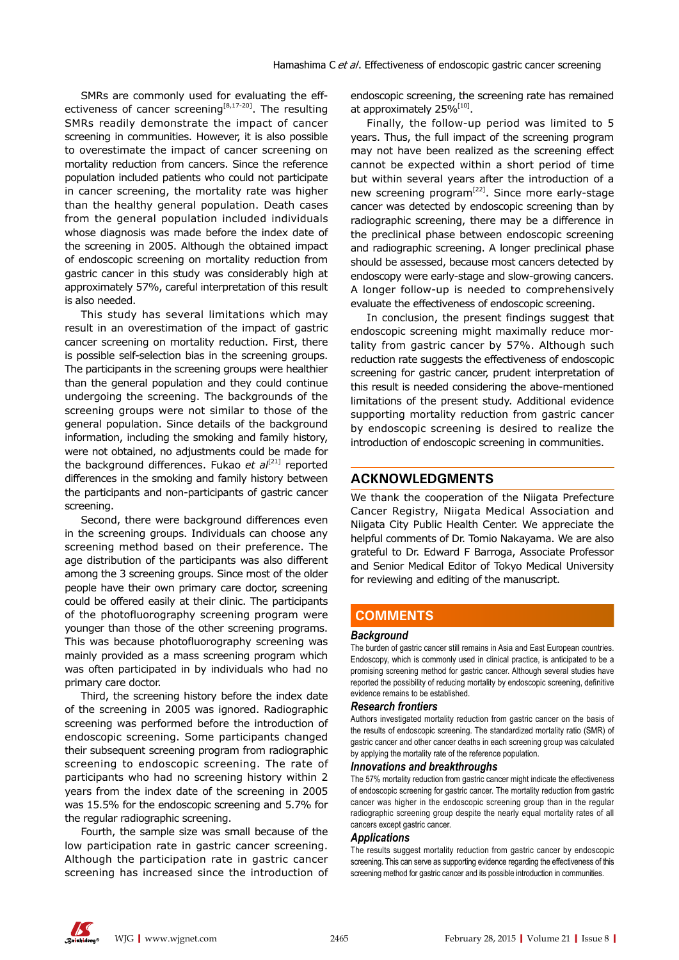SMRs are commonly used for evaluating the effectiveness of cancer screening<sup>[8,17-20]</sup>. The resulting SMRs readily demonstrate the impact of cancer screening in communities. However, it is also possible to overestimate the impact of cancer screening on mortality reduction from cancers. Since the reference population included patients who could not participate in cancer screening, the mortality rate was higher than the healthy general population. Death cases from the general population included individuals whose diagnosis was made before the index date of the screening in 2005. Although the obtained impact of endoscopic screening on mortality reduction from gastric cancer in this study was considerably high at approximately 57%, careful interpretation of this result is also needed.

This study has several limitations which may result in an overestimation of the impact of gastric cancer screening on mortality reduction. First, there is possible self-selection bias in the screening groups. The participants in the screening groups were healthier than the general population and they could continue undergoing the screening. The backgrounds of the screening groups were not similar to those of the general population. Since details of the background information, including the smoking and family history, were not obtained, no adjustments could be made for the background differences. Fukao et al<sup>[21]</sup> reported differences in the smoking and family history between the participants and non-participants of gastric cancer screening.

Second, there were background differences even in the screening groups. Individuals can choose any screening method based on their preference. The age distribution of the participants was also different among the 3 screening groups. Since most of the older people have their own primary care doctor, screening could be offered easily at their clinic. The participants of the photofluorography screening program were younger than those of the other screening programs. This was because photofluorography screening was mainly provided as a mass screening program which was often participated in by individuals who had no primary care doctor.

Third, the screening history before the index date of the screening in 2005 was ignored. Radiographic screening was performed before the introduction of endoscopic screening. Some participants changed their subsequent screening program from radiographic screening to endoscopic screening. The rate of participants who had no screening history within 2 years from the index date of the screening in 2005 was 15.5% for the endoscopic screening and 5.7% for the regular radiographic screening.

Fourth, the sample size was small because of the low participation rate in gastric cancer screening. Although the participation rate in gastric cancer screening has increased since the introduction of endoscopic screening, the screening rate has remained at approximately 25%<sup>[10]</sup>.

Finally, the follow-up period was limited to 5 years. Thus, the full impact of the screening program may not have been realized as the screening effect cannot be expected within a short period of time but within several years after the introduction of a new screening program<sup>[22]</sup>. Since more early-stage cancer was detected by endoscopic screening than by radiographic screening, there may be a difference in the preclinical phase between endoscopic screening and radiographic screening. A longer preclinical phase should be assessed, because most cancers detected by endoscopy were early-stage and slow-growing cancers. A longer follow-up is needed to comprehensively evaluate the effectiveness of endoscopic screening.

In conclusion, the present findings suggest that endoscopic screening might maximally reduce mortality from gastric cancer by 57%. Although such reduction rate suggests the effectiveness of endoscopic screening for gastric cancer, prudent interpretation of this result is needed considering the above-mentioned limitations of the present study. Additional evidence supporting mortality reduction from gastric cancer by endoscopic screening is desired to realize the introduction of endoscopic screening in communities.

# **ACKNOWLEDGMENTS**

We thank the cooperation of the Niigata Prefecture Cancer Registry, Niigata Medical Association and Niigata City Public Health Center. We appreciate the helpful comments of Dr. Tomio Nakayama. We are also grateful to Dr. Edward F Barroga, Associate Professor and Senior Medical Editor of Tokyo Medical University for reviewing and editing of the manuscript.

# **COMMENTS COMMENTS**

#### *Background*

The burden of gastric cancer still remains in Asia and East European countries. Endoscopy, which is commonly used in clinical practice, is anticipated to be a promising screening method for gastric cancer. Although several studies have reported the possibility of reducing mortality by endoscopic screening, definitive evidence remains to be established.

#### *Research frontiers*

Authors investigated mortality reduction from gastric cancer on the basis of the results of endoscopic screening. The standardized mortality ratio (SMR) of gastric cancer and other cancer deaths in each screening group was calculated by applying the mortality rate of the reference population.

#### *Innovations and breakthroughs*

The 57% mortality reduction from gastric cancer might indicate the effectiveness of endoscopic screening for gastric cancer. The mortality reduction from gastric cancer was higher in the endoscopic screening group than in the regular radiographic screening group despite the nearly equal mortality rates of all cancers except gastric cancer.

#### *Applications*

The results suggest mortality reduction from gastric cancer by endoscopic screening. This can serve as supporting evidence regarding the effectiveness of this screening method for gastric cancer and its possible introduction in communities.